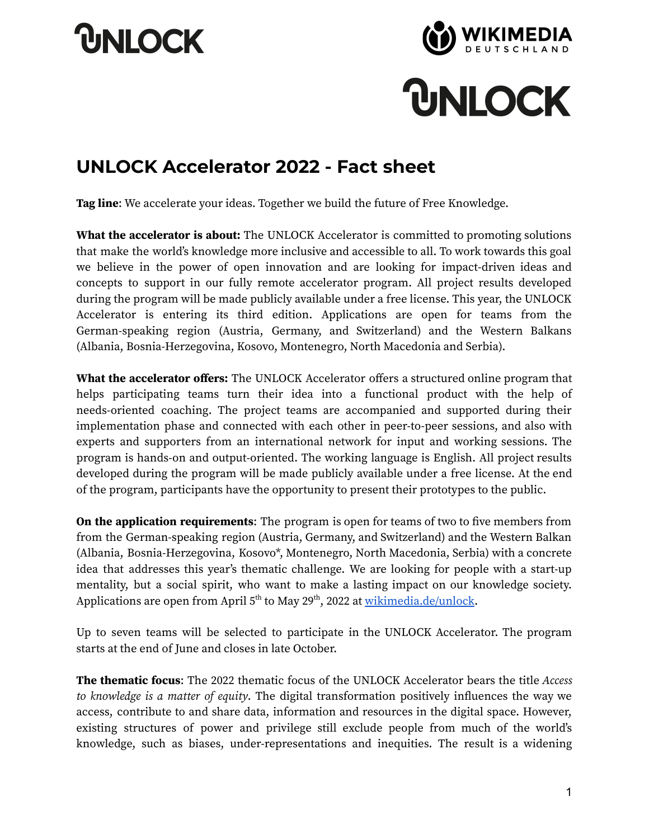## **UNLOCK**





## **UNLOCK Accelerator 2022 - Fact sheet**

**Tag line**: We accelerate your ideas. Together we build the future of Free Knowledge.

**What the accelerator is about:** The UNLOCK Accelerator is committed to promoting solutions that make the world's knowledge more inclusive and accessible to all. To work towards this goal we believe in the power of open innovation and are looking for impact-driven ideas and concepts to support in our fully remote accelerator program. All project results developed during the program will be made publicly available under a free license. This year, the UNLOCK Accelerator is entering its third edition. Applications are open for teams from the German-speaking region (Austria, Germany, and Switzerland) and the Western Balkans (Albania, Bosnia-Herzegovina, Kosovo, Montenegro, North Macedonia and Serbia).

**What the accelerator offers:** The UNLOCK Accelerator offers a structured online program that helps participating teams turn their idea into a functional product with the help of needs-oriented coaching. The project teams are accompanied and supported during their implementation phase and connected with each other in peer-to-peer sessions, and also with experts and supporters from an international network for input and working sessions. The program is hands-on and output-oriented. The working language is English. All project results developed during the program will be made publicly available under a free license. At the end of the program, participants have the opportunity to present their prototypes to the public.

**On the application requirements**: The program is open for teams of two to five members from from the German-speaking region (Austria, Germany, and Switzerland) and the Western Balkan (Albania, Bosnia-Herzegovina, Kosovo\*, Montenegro, North Macedonia, Serbia) with a concrete idea that addresses this year's thematic challenge. We are looking for people with a start-up mentality, but a social spirit, who want to make a lasting impact on our knowledge society. Applications are open from April 5<sup>th</sup> to May 29<sup>th</sup>, 2022 at <u>wikimedia.de/unlock</u>.

Up to seven teams will be selected to participate in the UNLOCK Accelerator. The program starts at the end of June and closes in late October.

**The thematic focus**: The 2022 thematic focus of the UNLOCK Accelerator bears the title Access to knowledge is a matter of equity. The digital transformation positively influences the way we access, contribute to and share data, information and resources in the digital space. However, existing structures of power and privilege still exclude people from much of the world's knowledge, such as biases, under-representations and inequities. The result is a widening